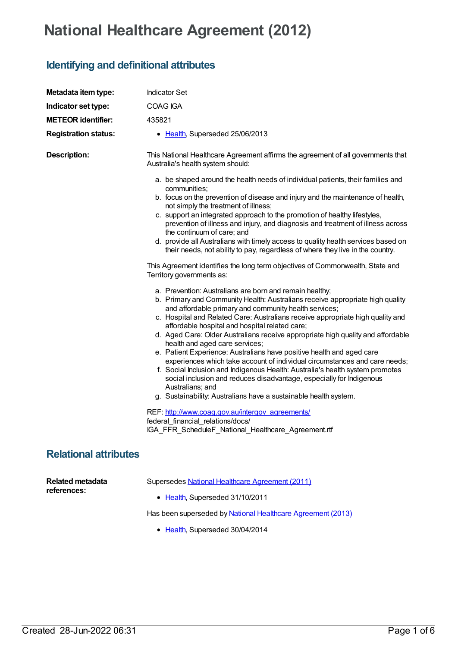## **National Healthcare Agreement (2012)**

## **Identifying and definitional attributes**

| Metadata item type:                    | <b>Indicator Set</b>                                                                                                                                                                                                                                                                                                                                                                                                                                                                                                                                                                                                                                                                                                                                                                                                                                                                                                                                                                                                                                                                                                                                                                                                                                                                                                                                                                                                                                                                                                                                                                |
|----------------------------------------|-------------------------------------------------------------------------------------------------------------------------------------------------------------------------------------------------------------------------------------------------------------------------------------------------------------------------------------------------------------------------------------------------------------------------------------------------------------------------------------------------------------------------------------------------------------------------------------------------------------------------------------------------------------------------------------------------------------------------------------------------------------------------------------------------------------------------------------------------------------------------------------------------------------------------------------------------------------------------------------------------------------------------------------------------------------------------------------------------------------------------------------------------------------------------------------------------------------------------------------------------------------------------------------------------------------------------------------------------------------------------------------------------------------------------------------------------------------------------------------------------------------------------------------------------------------------------------------|
| Indicator set type:                    | COAG IGA                                                                                                                                                                                                                                                                                                                                                                                                                                                                                                                                                                                                                                                                                                                                                                                                                                                                                                                                                                                                                                                                                                                                                                                                                                                                                                                                                                                                                                                                                                                                                                            |
| <b>METEOR identifier:</b>              | 435821                                                                                                                                                                                                                                                                                                                                                                                                                                                                                                                                                                                                                                                                                                                                                                                                                                                                                                                                                                                                                                                                                                                                                                                                                                                                                                                                                                                                                                                                                                                                                                              |
| <b>Registration status:</b>            | • Health, Superseded 25/06/2013                                                                                                                                                                                                                                                                                                                                                                                                                                                                                                                                                                                                                                                                                                                                                                                                                                                                                                                                                                                                                                                                                                                                                                                                                                                                                                                                                                                                                                                                                                                                                     |
| <b>Description:</b>                    | This National Healthcare Agreement affirms the agreement of all governments that<br>Australia's health system should:                                                                                                                                                                                                                                                                                                                                                                                                                                                                                                                                                                                                                                                                                                                                                                                                                                                                                                                                                                                                                                                                                                                                                                                                                                                                                                                                                                                                                                                               |
|                                        | a. be shaped around the health needs of individual patients, their families and<br>communities;<br>b. focus on the prevention of disease and injury and the maintenance of health,<br>not simply the treatment of illness;<br>c. support an integrated approach to the promotion of healthy lifestyles,<br>prevention of illness and injury, and diagnosis and treatment of illness across<br>the continuum of care; and<br>d. provide all Australians with timely access to quality health services based on<br>their needs, not ability to pay, regardless of where they live in the country.<br>This Agreement identifies the long term objectives of Commonwealth, State and<br>Territory governments as:<br>a. Prevention: Australians are born and remain healthy;<br>b. Primary and Community Health: Australians receive appropriate high quality<br>and affordable primary and community health services;<br>c. Hospital and Related Care: Australians receive appropriate high quality and<br>affordable hospital and hospital related care;<br>d. Aged Care: Older Australians receive appropriate high quality and affordable<br>health and aged care services;<br>e. Patient Experience: Australians have positive health and aged care<br>experiences which take account of individual circumstances and care needs;<br>f. Social Inclusion and Indigenous Health: Australia's health system promotes<br>social inclusion and reduces disadvantage, especially for Indigenous<br>Australians; and<br>g. Sustainability: Australians have a sustainable health system. |
|                                        | REF: http://www.coag.gov.au/intergov_agreements/<br>federal_financial_relations/docs/<br>IGA_FFR_ScheduleF_National_Healthcare_Agreement.rtf                                                                                                                                                                                                                                                                                                                                                                                                                                                                                                                                                                                                                                                                                                                                                                                                                                                                                                                                                                                                                                                                                                                                                                                                                                                                                                                                                                                                                                        |
| <b>Relational attributes</b>           |                                                                                                                                                                                                                                                                                                                                                                                                                                                                                                                                                                                                                                                                                                                                                                                                                                                                                                                                                                                                                                                                                                                                                                                                                                                                                                                                                                                                                                                                                                                                                                                     |
| <b>Related metadata</b><br>references: | Supersedes National Healthcare Agreement (2011)<br>• Health, Superseded 31/10/2011                                                                                                                                                                                                                                                                                                                                                                                                                                                                                                                                                                                                                                                                                                                                                                                                                                                                                                                                                                                                                                                                                                                                                                                                                                                                                                                                                                                                                                                                                                  |

Has been superseded by National Healthcare [Agreement](https://meteor.aihw.gov.au/content/496807) (2013)

• [Health](https://meteor.aihw.gov.au/RegistrationAuthority/12), Superseded 30/04/2014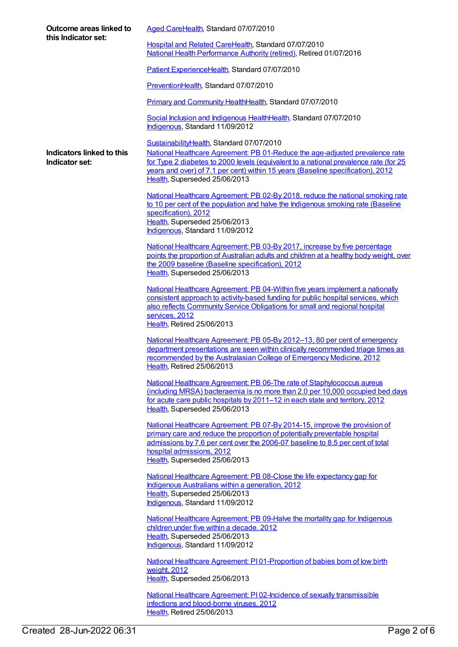| Outcome areas linked to<br>this Indicator set: | Aged CareHealth, Standard 07/07/2010                                                                                                                                                                                                                                                                                                  |
|------------------------------------------------|---------------------------------------------------------------------------------------------------------------------------------------------------------------------------------------------------------------------------------------------------------------------------------------------------------------------------------------|
|                                                | Hospital and Related CareHealth, Standard 07/07/2010<br>National Health Performance Authority (retired), Retired 01/07/2016                                                                                                                                                                                                           |
|                                                | Patient ExperienceHealth, Standard 07/07/2010                                                                                                                                                                                                                                                                                         |
|                                                | PreventionHealth, Standard 07/07/2010                                                                                                                                                                                                                                                                                                 |
|                                                | Primary and Community HealthHealth, Standard 07/07/2010                                                                                                                                                                                                                                                                               |
|                                                | Social Inclusion and Indigenous HealthHealth, Standard 07/07/2010<br>Indigenous, Standard 11/09/2012                                                                                                                                                                                                                                  |
| Indicators linked to this<br>Indicator set:    | SustainabilityHealth, Standard 07/07/2010<br>National Healthcare Agreement: PB 01-Reduce the age-adjusted prevalence rate<br>for Type 2 diabetes to 2000 levels (equivalent to a national prevalence rate (for 25<br>years and over) of 7.1 per cent) within 15 years (Baseline specification), 2012<br>Health, Superseded 25/06/2013 |
|                                                | National Healthcare Agreement: PB 02-By 2018, reduce the national smoking rate<br>to 10 per cent of the population and halve the Indigenous smoking rate (Baseline<br>specification), 2012<br>Health, Superseded 25/06/2013<br>Indigenous, Standard 11/09/2012                                                                        |
|                                                | National Healthcare Agreement: PB 03-By 2017, increase by five percentage<br>points the proportion of Australian adults and children at a healthy body weight, over<br>the 2009 baseline (Baseline specification), 2012<br>Health, Superseded 25/06/2013                                                                              |
|                                                | National Healthcare Agreement: PB 04-Within five years implement a nationally<br>consistent approach to activity-based funding for public hospital services, which<br>also reflects Community Service Obligations for small and regional hospital<br>services, 2012<br>Health, Retired 25/06/2013                                     |
|                                                | National Healthcare Agreement: PB 05-By 2012-13, 80 per cent of emergency<br>department presentations are seen within clinically recommended triage times as<br>recommended by the Australasian College of Emergency Medicine, 2012<br>Health, Retired 25/06/2013                                                                     |
|                                                | National Healthcare Agreement: PB 06-The rate of Staphylococcus aureus<br>(including MRSA) bacteraemia is no more than 2.0 per 10,000 occupied bed days<br>for acute care public hospitals by 2011-12 in each state and territory, 2012<br>Health, Superseded 25/06/2013                                                              |
|                                                | National Healthcare Agreement: PB 07-By 2014-15, improve the provision of<br>primary care and reduce the proportion of potentially preventable hospital<br>admissions by 7.6 per cent over the 2006-07 baseline to 8.5 per cent of total<br>hospital admissions, 2012<br>Health, Superseded 25/06/2013                                |
|                                                | National Healthcare Agreement: PB 08-Close the life expectancy gap for<br>Indigenous Australians within a generation, 2012<br>Health, Superseded 25/06/2013<br>Indigenous, Standard 11/09/2012                                                                                                                                        |
|                                                | National Healthcare Agreement: PB 09-Halve the mortality gap for Indigenous<br>children under five within a decade, 2012<br>Health, Superseded 25/06/2013<br>Indigenous, Standard 11/09/2012                                                                                                                                          |
|                                                | National Healthcare Agreement: PI01-Proportion of babies born of low birth<br>weight, 2012<br>Health, Superseded 25/06/2013                                                                                                                                                                                                           |
|                                                | National Healthcare Agreement: PI02-Incidence of sexually transmissible<br>infections and blood-borne viruses, 2012                                                                                                                                                                                                                   |

[Health](https://meteor.aihw.gov.au/RegistrationAuthority/12), Retired 25/06/2013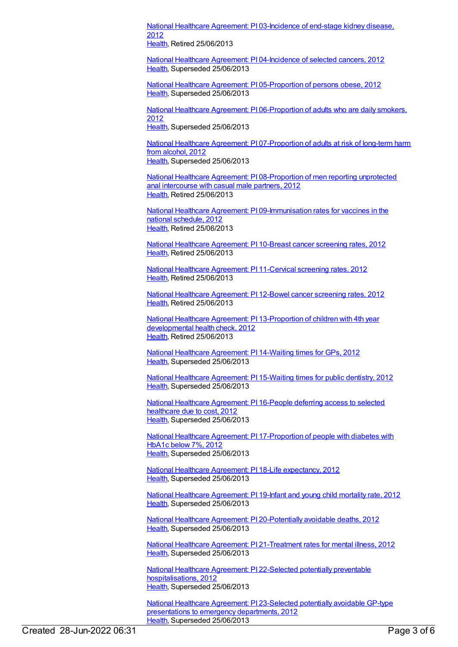National Healthcare Agreement: PI [03-Incidence](https://meteor.aihw.gov.au/content/435837) of end-stage kidney disease, 2012

[Health](https://meteor.aihw.gov.au/RegistrationAuthority/12), Retired 25/06/2013

National Healthcare Agreement: PI [04-Incidence](https://meteor.aihw.gov.au/content/435839) of selected cancers, 2012 [Health](https://meteor.aihw.gov.au/RegistrationAuthority/12), Superseded 25/06/2013

National Healthcare Agreement: PI [05-Proportion](https://meteor.aihw.gov.au/content/435967) of persons obese, 2012 [Health](https://meteor.aihw.gov.au/RegistrationAuthority/12), Superseded 25/06/2013

National Healthcare Agreement: PI [06-Proportion](https://meteor.aihw.gov.au/content/435974) of adults who are daily smokers, 2012

[Health](https://meteor.aihw.gov.au/RegistrationAuthority/12), Superseded 25/06/2013

National Healthcare Agreement: PI [07-Proportion](https://meteor.aihw.gov.au/content/435979) of adults at risk of long-term harm from alcohol, 2012 [Health](https://meteor.aihw.gov.au/RegistrationAuthority/12), Superseded 25/06/2013

National Healthcare Agreement: PI [08-Proportion](https://meteor.aihw.gov.au/content/435841) of men reporting unprotected anal intercourse with casual male partners, 2012 [Health](https://meteor.aihw.gov.au/RegistrationAuthority/12), Retired 25/06/2013

National Healthcare Agreement: PI [09-Immunisation](https://meteor.aihw.gov.au/content/436839) rates for vaccines in the national schedule, 2012 [Health](https://meteor.aihw.gov.au/RegistrationAuthority/12), Retired 25/06/2013

National Healthcare [Agreement:](https://meteor.aihw.gov.au/content/435843) PI 10-Breast cancer screening rates, 2012 [Health](https://meteor.aihw.gov.au/RegistrationAuthority/12), Retired 25/06/2013

National Healthcare [Agreement:](https://meteor.aihw.gov.au/content/435845) PI 11-Cervical screening rates, 2012 [Health](https://meteor.aihw.gov.au/RegistrationAuthority/12), Retired 25/06/2013

National Healthcare [Agreement:](https://meteor.aihw.gov.au/content/435847) PI 12-Bowel cancer screening rates, 2012 [Health](https://meteor.aihw.gov.au/RegistrationAuthority/12), Retired 25/06/2013

National Healthcare Agreement: PI [13-Proportion](https://meteor.aihw.gov.au/content/441359) of children with 4th year developmental health check, 2012 [Health](https://meteor.aihw.gov.au/RegistrationAuthority/12), Retired 25/06/2013

National Healthcare [Agreement:](https://meteor.aihw.gov.au/content/436845) PI 14-Waiting times for GPs, 2012 [Health](https://meteor.aihw.gov.au/RegistrationAuthority/12), Superseded 25/06/2013

National Healthcare [Agreement:](https://meteor.aihw.gov.au/content/435849) PI 15-Waiting times for public dentistry, 2012 [Health](https://meteor.aihw.gov.au/RegistrationAuthority/12), Superseded 25/06/2013

National Healthcare [Agreement:](https://meteor.aihw.gov.au/content/436848) PI 16-People deferring access to selected healthcare due to cost, 2012 [Health](https://meteor.aihw.gov.au/RegistrationAuthority/12), Superseded 25/06/2013

National Healthcare Agreement: PI [17-Proportion](https://meteor.aihw.gov.au/content/435982) of people with diabetes with HbA1c below 7%, 2012 [Health](https://meteor.aihw.gov.au/RegistrationAuthority/12), Superseded 25/06/2013

National Healthcare Agreement: PI 18-Life [expectancy,](https://meteor.aihw.gov.au/content/443680) 2012 [Health](https://meteor.aihw.gov.au/RegistrationAuthority/12), Superseded 25/06/2013

National Healthcare [Agreement:](https://meteor.aihw.gov.au/content/443683) PI 19-Infant and young child mortality rate, 2012 [Health](https://meteor.aihw.gov.au/RegistrationAuthority/12), Superseded 25/06/2013

National Healthcare Agreement: PI [20-Potentially](https://meteor.aihw.gov.au/content/443685) avoidable deaths, 2012 [Health](https://meteor.aihw.gov.au/RegistrationAuthority/12), Superseded 25/06/2013

National Healthcare Agreement: PI [21-Treatment](https://meteor.aihw.gov.au/content/441365) rates for mental illness, 2012 [Health](https://meteor.aihw.gov.au/RegistrationAuthority/12), Superseded 25/06/2013

National Healthcare Agreement: PI 22-Selected potentially preventable [hospitalisations,](https://meteor.aihw.gov.au/content/443687) 2012 [Health](https://meteor.aihw.gov.au/RegistrationAuthority/12), Superseded 25/06/2013

National Healthcare Agreement: PI [23-Selected](https://meteor.aihw.gov.au/content/443689) potentially avoidable GP-type presentations to emergency departments, 2012 [Health](https://meteor.aihw.gov.au/RegistrationAuthority/12), Superseded 25/06/2013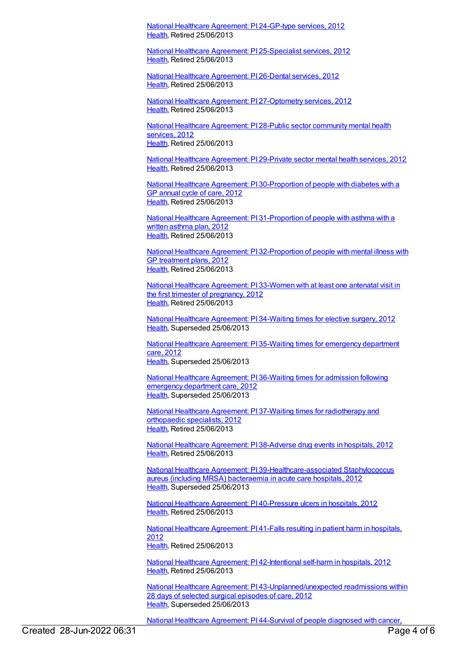National Healthcare [Agreement:](https://meteor.aihw.gov.au/content/441378) PI 24-GP-type services, 2012 [Health](https://meteor.aihw.gov.au/RegistrationAuthority/12), Retired 25/06/2013

National Healthcare Agreement: PI [25-Specialist](https://meteor.aihw.gov.au/content/441385) services, 2012 [Health](https://meteor.aihw.gov.au/RegistrationAuthority/12), Retired 25/06/2013

National Healthcare [Agreement:](https://meteor.aihw.gov.au/content/435851) PI 26-Dental services, 2012 [Health](https://meteor.aihw.gov.au/RegistrationAuthority/12), Retired 25/06/2013

National Healthcare Agreement: PI [27-Optometry](https://meteor.aihw.gov.au/content/441389) services, 2012 [Health](https://meteor.aihw.gov.au/RegistrationAuthority/12), Retired 25/06/2013

National Healthcare [Agreement:](https://meteor.aihw.gov.au/content/435854) PI 28-Public sector community mental health services, 2012 [Health](https://meteor.aihw.gov.au/RegistrationAuthority/12), Retired 25/06/2013

National Healthcare [Agreement:](https://meteor.aihw.gov.au/content/435986) PI 29-Private sector mental health services, 2012 [Health](https://meteor.aihw.gov.au/RegistrationAuthority/12), Retired 25/06/2013

National Healthcare Agreement: PI [30-Proportion](https://meteor.aihw.gov.au/content/441397) of people with diabetes with a GP annual cycle of care, 2012 [Health](https://meteor.aihw.gov.au/RegistrationAuthority/12), Retired 25/06/2013

National Healthcare Agreement: PI [31-Proportion](https://meteor.aihw.gov.au/content/435988) of people with asthma with a written asthma plan, 2012 [Health](https://meteor.aihw.gov.au/RegistrationAuthority/12), Retired 25/06/2013

National Healthcare Agreement: PI [32-Proportion](https://meteor.aihw.gov.au/content/441393) of people with mental illness with GP treatment plans, 2012 [Health](https://meteor.aihw.gov.au/RegistrationAuthority/12), Retired 25/06/2013

National Healthcare [Agreement:](https://meteor.aihw.gov.au/content/435858) PI 33-Women with at least one antenatal visit in the first trimester of pregnancy, 2012 [Health](https://meteor.aihw.gov.au/RegistrationAuthority/12), Retired 25/06/2013

National Healthcare [Agreement:](https://meteor.aihw.gov.au/content/435861) PI 34-Waiting times for elective surgery, 2012 [Health](https://meteor.aihw.gov.au/RegistrationAuthority/12), Superseded 25/06/2013

National Healthcare [Agreement:](https://meteor.aihw.gov.au/content/435863) PI 35-Waiting times for emergency department care, 2012 [Health](https://meteor.aihw.gov.au/RegistrationAuthority/12), Superseded 25/06/2013

National Healthcare [Agreement:](https://meteor.aihw.gov.au/content/435865) PI 36-Waiting times for admission following emergency department care, 2012 [Health](https://meteor.aihw.gov.au/RegistrationAuthority/12), Superseded 25/06/2013

National Healthcare Agreement: PI 37-Waiting times for [radiotherapy](https://meteor.aihw.gov.au/content/435867) and orthopaedic specialists, 2012 [Health](https://meteor.aihw.gov.au/RegistrationAuthority/12), Retired 25/06/2013

National Healthcare [Agreement:](https://meteor.aihw.gov.au/content/443695) PI 38-Adverse drug events in hospitals, 2012 [Health](https://meteor.aihw.gov.au/RegistrationAuthority/12), Retired 25/06/2013

National Healthcare Agreement: PI [39-Healthcare-associated](https://meteor.aihw.gov.au/content/443699) Staphylococcus aureus (including MRSA) bacteraemia in acute care hospitals, 2012 [Health](https://meteor.aihw.gov.au/RegistrationAuthority/12), Superseded 25/06/2013

National Healthcare Agreement: PI [40-Pressure](https://meteor.aihw.gov.au/content/443703) ulcers in hospitals, 2012 [Health](https://meteor.aihw.gov.au/RegistrationAuthority/12), Retired 25/06/2013

National Healthcare [Agreement:](https://meteor.aihw.gov.au/content/443705) PI 41-Falls resulting in patient harm in hospitals, 2012 [Health](https://meteor.aihw.gov.au/RegistrationAuthority/12), Retired 25/06/2013

National Healthcare Agreement: PI [42-Intentional](https://meteor.aihw.gov.au/content/443709) self-harm in hospitals, 2012 [Health](https://meteor.aihw.gov.au/RegistrationAuthority/12), Retired 25/06/2013

National Healthcare Agreement: PI [43-Unplanned/unexpected](https://meteor.aihw.gov.au/content/443711) readmissions within 28 days of selected surgical episodes of care, 2012 [Health](https://meteor.aihw.gov.au/RegistrationAuthority/12), Superseded 25/06/2013

National Healthcare [Agreement:](https://meteor.aihw.gov.au/content/435870) PI 44-Survival of people diagnosed with cancer,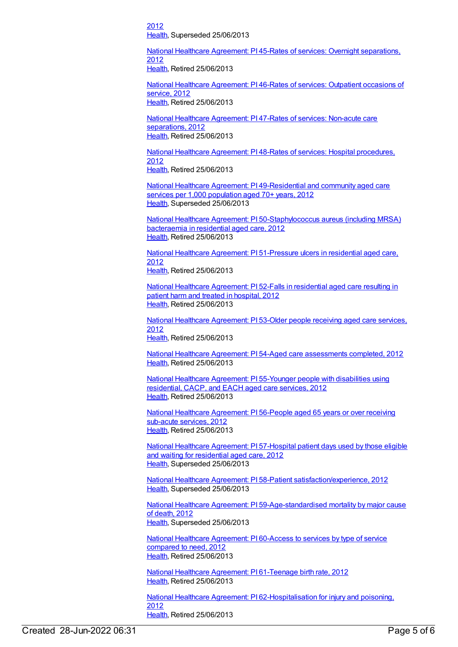2012 [Health](https://meteor.aihw.gov.au/RegistrationAuthority/12), Superseded 25/06/2013

National Healthcare Agreement: PI 45-Rates of services: Overnight [separations,](https://meteor.aihw.gov.au/content/435873) 2012

[Health](https://meteor.aihw.gov.au/RegistrationAuthority/12), Retired 25/06/2013

National Healthcare [Agreement:](https://meteor.aihw.gov.au/content/435875) PI 46-Rates of services: Outpatient occasions of service, 2012 [Health](https://meteor.aihw.gov.au/RegistrationAuthority/12), Retired 25/06/2013

National Healthcare [Agreement:](https://meteor.aihw.gov.au/content/435878) PI 47-Rates of services: Non-acute care separations, 2012 [Health](https://meteor.aihw.gov.au/RegistrationAuthority/12), Retired 25/06/2013

National Healthcare [Agreement:](https://meteor.aihw.gov.au/content/444872) PI 48-Rates of services: Hospital procedures, 2012 [Health](https://meteor.aihw.gov.au/RegistrationAuthority/12), Retired 25/06/2013

National Healthcare Agreement: PI [49-Residential](https://meteor.aihw.gov.au/content/436881) and community aged care services per 1,000 population aged 70+ years, 2012 [Health](https://meteor.aihw.gov.au/RegistrationAuthority/12), Superseded 25/06/2013

National Healthcare Agreement: PI [50-Staphylococcus](https://meteor.aihw.gov.au/content/435880) aureus (including MRSA) bacteraemia in residential aged care, 2012 [Health](https://meteor.aihw.gov.au/RegistrationAuthority/12), Retired 25/06/2013

National Healthcare Agreement: PI [51-Pressure](https://meteor.aihw.gov.au/content/435883) ulcers in residential aged care, 2012 [Health](https://meteor.aihw.gov.au/RegistrationAuthority/12), Retired 25/06/2013

National Healthcare [Agreement:](https://meteor.aihw.gov.au/content/435893) PI 52-Falls in residential aged care resulting in patient harm and treated in hospital, 2012 [Health](https://meteor.aihw.gov.au/RegistrationAuthority/12), Retired 25/06/2013

National Healthcare [Agreement:](https://meteor.aihw.gov.au/content/436887) PI 53-Older people receiving aged care services, 2012 [Health](https://meteor.aihw.gov.au/RegistrationAuthority/12), Retired 25/06/2013

National Healthcare Agreement: PI 54-Aged care [assessments](https://meteor.aihw.gov.au/content/436891) completed, 2012 [Health](https://meteor.aihw.gov.au/RegistrationAuthority/12), Retired 25/06/2013

National Healthcare [Agreement:](https://meteor.aihw.gov.au/content/436893) PI 55-Younger people with disabilities using residential, CACP, and EACH aged care services, 2012 [Health](https://meteor.aihw.gov.au/RegistrationAuthority/12), Retired 25/06/2013

National Healthcare [Agreement:](https://meteor.aihw.gov.au/content/435895) PI 56-People aged 65 years or over receiving sub-acute services, 2012 [Health](https://meteor.aihw.gov.au/RegistrationAuthority/12), Retired 25/06/2013

National Healthcare [Agreement:](https://meteor.aihw.gov.au/content/435897) PI 57-Hospital patient days used by those eligible and waiting for residential aged care, 2012 [Health](https://meteor.aihw.gov.au/RegistrationAuthority/12), Superseded 25/06/2013

National Healthcare Agreement: PI 58-Patient [satisfaction/experience,](https://meteor.aihw.gov.au/content/436851) 2012 [Health](https://meteor.aihw.gov.au/RegistrationAuthority/12), Superseded 25/06/2013

National Healthcare Agreement: PI [59-Age-standardised](https://meteor.aihw.gov.au/content/443713) mortality by major cause of death, 2012 [Health](https://meteor.aihw.gov.au/RegistrationAuthority/12), Superseded 25/06/2013

National Healthcare [Agreement:](https://meteor.aihw.gov.au/content/435991) PI 60-Access to services by type of service compared to need, 2012 [Health](https://meteor.aihw.gov.au/RegistrationAuthority/12), Retired 25/06/2013

National Healthcare Agreement: PI [61-Teenage](https://meteor.aihw.gov.au/content/435899) birth rate, 2012 [Health](https://meteor.aihw.gov.au/RegistrationAuthority/12), Retired 25/06/2013

National Healthcare Agreement: PI [62-Hospitalisation](https://meteor.aihw.gov.au/content/435901) for injury and poisoning, 2012 [Health](https://meteor.aihw.gov.au/RegistrationAuthority/12), Retired 25/06/2013